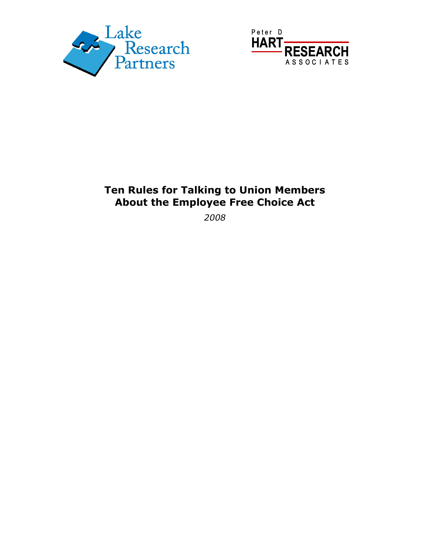



# Ten Rules for Talking to Union Members About the Employee Free Choice Act

2008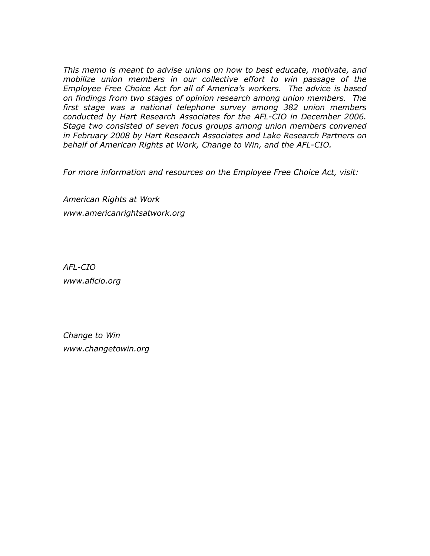This memo is meant to advise unions on how to best educate, motivate, and mobilize union members in our collective effort to win passage of the Employee Free Choice Act for all of America's workers. The advice is based on findings from two stages of opinion research among union members. The first stage was a national telephone survey among 382 union members conducted by Hart Research Associates for the AFL-CIO in December 2006. Stage two consisted of seven focus groups among union members convened in February 2008 by Hart Research Associates and Lake Research Partners on behalf of American Rights at Work, Change to Win, and the AFL-CIO.

For more information and resources on the Employee Free Choice Act, visit:

American Rights at Work www.americanrightsatwork.org

AFL-CIO www.aflcio.org

Change to Win www.changetowin.org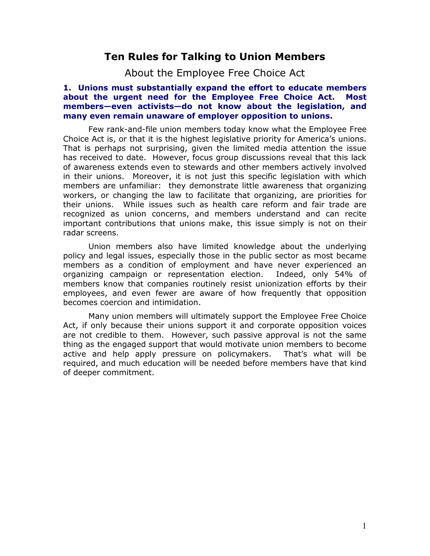## Ten Rules for Talking to Union Members

About the Employee Free Choice Act

#### 1. Unions must substantially expand the effort to educate members about the urgent need for the Employee Free Choice Act. Most members—even activists—do not know about the legislation, and many even remain unaware of employer opposition to unions.

Few rank-and-file union members today know what the Employee Free Choice Act is, or that it is the highest legislative priority for America's unions. That is perhaps not surprising, given the limited media attention the issue has received to date. However, focus group discussions reveal that this lack of awareness extends even to stewards and other members actively involved in their unions. Moreover, it is not just this specific legislation with which members are unfamiliar: they demonstrate little awareness that organizing workers, or changing the law to facilitate that organizing, are priorities for their unions. While issues such as health care reform and fair trade are recognized as union concerns, and members understand and can recite important contributions that unions make, this issue simply is not on their radar screens.

Union members also have limited knowledge about the underlying policy and legal issues, especially those in the public sector as most became members as a condition of employment and have never experienced an organizing campaign or representation election. Indeed, only 54% of members know that companies routinely resist unionization efforts by their employees, and even fewer are aware of how frequently that opposition becomes coercion and intimidation.

Many union members will ultimately support the Employee Free Choice Act, if only because their unions support it and corporate opposition voices are not credible to them. However, such passive approval is not the same thing as the engaged support that would motivate union members to become active and help apply pressure on policymakers. That's what will be required, and much education will be needed before members have that kind of deeper commitment.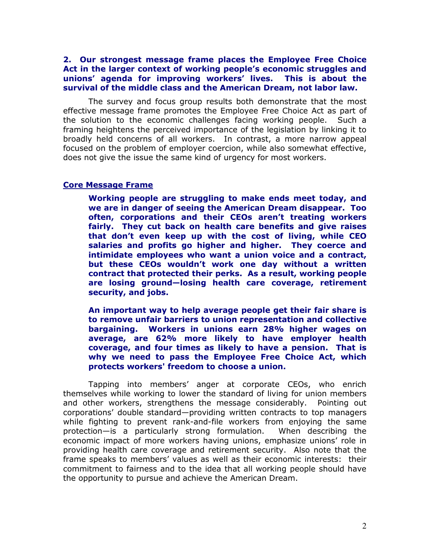#### 2. Our strongest message frame places the Employee Free Choice Act in the larger context of working people's economic struggles and unions' agenda for improving workers' lives. This is about the survival of the middle class and the American Dream, not labor law.

 The survey and focus group results both demonstrate that the most effective message frame promotes the Employee Free Choice Act as part of the solution to the economic challenges facing working people. Such a framing heightens the perceived importance of the legislation by linking it to broadly held concerns of all workers. In contrast, a more narrow appeal focused on the problem of employer coercion, while also somewhat effective, does not give the issue the same kind of urgency for most workers.

#### Core Message Frame

Working people are struggling to make ends meet today, and we are in danger of seeing the American Dream disappear. Too often, corporations and their CEOs aren't treating workers fairly. They cut back on health care benefits and give raises that don't even keep up with the cost of living, while CEO salaries and profits go higher and higher. They coerce and intimidate employees who want a union voice and a contract, but these CEOs wouldn't work one day without a written contract that protected their perks. As a result, working people are losing ground—losing health care coverage, retirement security, and jobs.

An important way to help average people get their fair share is to remove unfair barriers to union representation and collective bargaining. Workers in unions earn 28% higher wages on average, are 62% more likely to have employer health coverage, and four times as likely to have a pension. That is why we need to pass the Employee Free Choice Act, which protects workers' freedom to choose a union.

 Tapping into members' anger at corporate CEOs, who enrich themselves while working to lower the standard of living for union members and other workers, strengthens the message considerably. Pointing out corporations' double standard—providing written contracts to top managers while fighting to prevent rank-and-file workers from enjoying the same protection—is a particularly strong formulation. When describing the economic impact of more workers having unions, emphasize unions' role in providing health care coverage and retirement security. Also note that the frame speaks to members' values as well as their economic interests: their commitment to fairness and to the idea that all working people should have the opportunity to pursue and achieve the American Dream.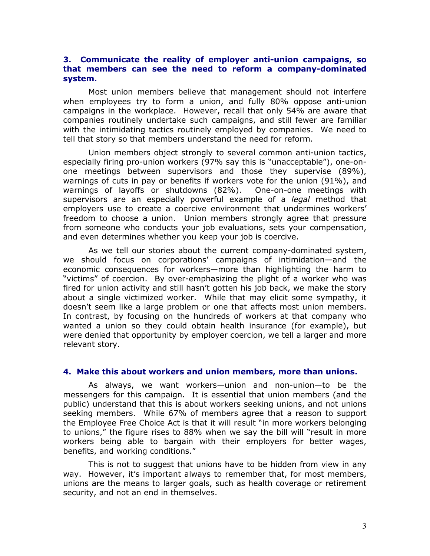#### 3. Communicate the reality of employer anti-union campaigns, so that members can see the need to reform a company-dominated system.

 Most union members believe that management should not interfere when employees try to form a union, and fully 80% oppose anti-union campaigns in the workplace. However, recall that only 54% are aware that companies routinely undertake such campaigns, and still fewer are familiar with the intimidating tactics routinely employed by companies. We need to tell that story so that members understand the need for reform.

 Union members object strongly to several common anti-union tactics, especially firing pro-union workers (97% say this is "unacceptable"), one-onone meetings between supervisors and those they supervise (89%), warnings of cuts in pay or benefits if workers vote for the union (91%), and warnings of layoffs or shutdowns (82%). One-on-one meetings with supervisors are an especially powerful example of a legal method that employers use to create a coercive environment that undermines workers' freedom to choose a union. Union members strongly agree that pressure from someone who conducts your job evaluations, sets your compensation, and even determines whether you keep your job is coercive.

As we tell our stories about the current company-dominated system, we should focus on corporations' campaigns of intimidation—and the economic consequences for workers—more than highlighting the harm to "victims" of coercion. By over-emphasizing the plight of a worker who was fired for union activity and still hasn't gotten his job back, we make the story about a single victimized worker. While that may elicit some sympathy, it doesn't seem like a large problem or one that affects most union members. In contrast, by focusing on the hundreds of workers at that company who wanted a union so they could obtain health insurance (for example), but were denied that opportunity by employer coercion, we tell a larger and more relevant story.

#### 4. Make this about workers and union members, more than unions.

As always, we want workers—union and non-union—to be the messengers for this campaign. It is essential that union members (and the public) understand that this is about workers seeking unions, and not unions seeking members. While 67% of members agree that a reason to support the Employee Free Choice Act is that it will result "in more workers belonging to unions," the figure rises to 88% when we say the bill will "result in more workers being able to bargain with their employers for better wages, benefits, and working conditions."

This is not to suggest that unions have to be hidden from view in any way. However, it's important always to remember that, for most members, unions are the means to larger goals, such as health coverage or retirement security, and not an end in themselves.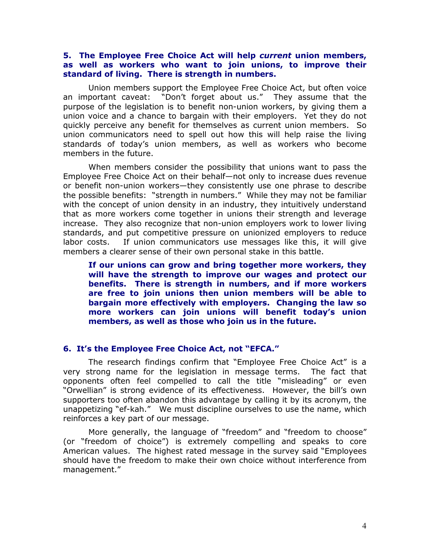#### 5. The Employee Free Choice Act will help *current* union members, as well as workers who want to join unions, to improve their standard of living. There is strength in numbers.

Union members support the Employee Free Choice Act, but often voice an important caveat: "Don't forget about us." They assume that the purpose of the legislation is to benefit non-union workers, by giving them a union voice and a chance to bargain with their employers. Yet they do not quickly perceive any benefit for themselves as current union members. So union communicators need to spell out how this will help raise the living standards of today's union members, as well as workers who become members in the future.

 When members consider the possibility that unions want to pass the Employee Free Choice Act on their behalf—not only to increase dues revenue or benefit non-union workers—they consistently use one phrase to describe the possible benefits: "strength in numbers." While they may not be familiar with the concept of union density in an industry, they intuitively understand that as more workers come together in unions their strength and leverage increase. They also recognize that non-union employers work to lower living standards, and put competitive pressure on unionized employers to reduce labor costs. If union communicators use messages like this, it will give members a clearer sense of their own personal stake in this battle.

If our unions can grow and bring together more workers, they will have the strength to improve our wages and protect our benefits. There is strength in numbers, and if more workers are free to join unions then union members will be able to bargain more effectively with employers. Changing the law so more workers can join unions will benefit today's union members, as well as those who join us in the future.

#### 6. It's the Employee Free Choice Act, not "EFCA."

The research findings confirm that "Employee Free Choice Act" is a very strong name for the legislation in message terms. The fact that opponents often feel compelled to call the title "misleading" or even "Orwellian" is strong evidence of its effectiveness. However, the bill's own supporters too often abandon this advantage by calling it by its acronym, the unappetizing "ef-kah." We must discipline ourselves to use the name, which reinforces a key part of our message.

More generally, the language of "freedom" and "freedom to choose" (or "freedom of choice") is extremely compelling and speaks to core American values. The highest rated message in the survey said "Employees should have the freedom to make their own choice without interference from management."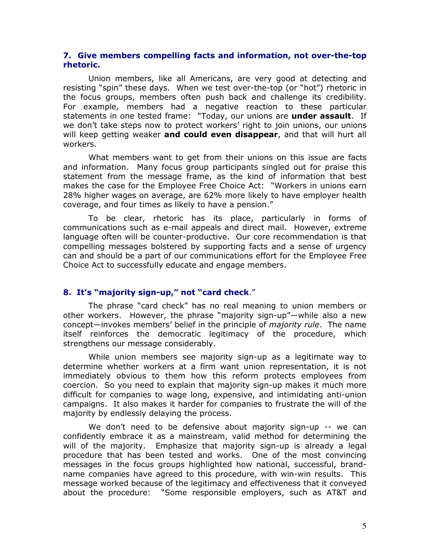#### 7. Give members compelling facts and information, not over-the-top rhetoric.

Union members, like all Americans, are very good at detecting and resisting "spin" these days. When we test over-the-top (or "hot") rhetoric in the focus groups, members often push back and challenge its credibility. For example, members had a negative reaction to these particular statements in one tested frame: "Today, our unions are under assault. If we don't take steps now to protect workers' right to join unions, our unions will keep getting weaker **and could even disappear**, and that will hurt all workers.

What members want to get from their unions on this issue are facts and information. Many focus group participants singled out for praise this statement from the message frame, as the kind of information that best makes the case for the Employee Free Choice Act: "Workers in unions earn 28% higher wages on average, are 62% more likely to have employer health coverage, and four times as likely to have a pension."

To be clear, rhetoric has its place, particularly in forms of communications such as e-mail appeals and direct mail. However, extreme language often will be counter-productive. Our core recommendation is that compelling messages bolstered by supporting facts and a sense of urgency can and should be a part of our communications effort for the Employee Free Choice Act to successfully educate and engage members.

### 8. It's "majority sign-up," not "card check."

The phrase "card check" has no real meaning to union members or other workers. However, the phrase "majority sign-up"—while also a new concept—invokes members' belief in the principle of *majority rule*. The name itself reinforces the democratic legitimacy of the procedure, which strengthens our message considerably.

While union members see majority sign-up as a legitimate way to determine whether workers at a firm want union representation, it is not immediately obvious to them how this reform protects employees from coercion. So you need to explain that majority sign-up makes it much more difficult for companies to wage long, expensive, and intimidating anti-union campaigns. It also makes it harder for companies to frustrate the will of the majority by endlessly delaying the process.

We don't need to be defensive about majority sign-up -- we can confidently embrace it as a mainstream, valid method for determining the will of the majority. Emphasize that majority sign-up is already a legal procedure that has been tested and works. One of the most convincing messages in the focus groups highlighted how national, successful, brandname companies have agreed to this procedure, with win-win results. This message worked because of the legitimacy and effectiveness that it conveyed about the procedure: "Some responsible employers, such as AT&T and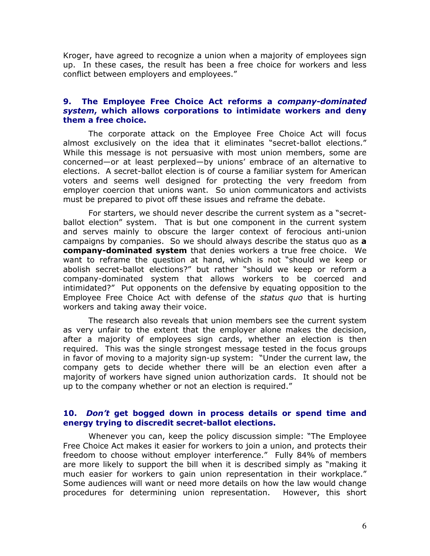Kroger, have agreed to recognize a union when a majority of employees sign up. In these cases, the result has been a free choice for workers and less conflict between employers and employees."

#### 9. The Employee Free Choice Act reforms a company-dominated system, which allows corporations to intimidate workers and deny them a free choice.

The corporate attack on the Employee Free Choice Act will focus almost exclusively on the idea that it eliminates "secret-ballot elections." While this message is not persuasive with most union members, some are concerned—or at least perplexed—by unions' embrace of an alternative to elections. A secret-ballot election is of course a familiar system for American voters and seems well designed for protecting the very freedom from employer coercion that unions want. So union communicators and activists must be prepared to pivot off these issues and reframe the debate.

For starters, we should never describe the current system as a "secretballot election" system. That is but one component in the current system and serves mainly to obscure the larger context of ferocious anti-union campaigns by companies. So we should always describe the status quo as a company-dominated system that denies workers a true free choice. We want to reframe the question at hand, which is not "should we keep or abolish secret-ballot elections?" but rather "should we keep or reform a company-dominated system that allows workers to be coerced and intimidated?" Put opponents on the defensive by equating opposition to the Employee Free Choice Act with defense of the status quo that is hurting workers and taking away their voice.

The research also reveals that union members see the current system as very unfair to the extent that the employer alone makes the decision, after a majority of employees sign cards, whether an election is then required. This was the single strongest message tested in the focus groups in favor of moving to a majority sign-up system: "Under the current law, the company gets to decide whether there will be an election even after a majority of workers have signed union authorization cards. It should not be up to the company whether or not an election is required."

#### 10. Don't get bogged down in process details or spend time and energy trying to discredit secret-ballot elections.

Whenever you can, keep the policy discussion simple: "The Employee Free Choice Act makes it easier for workers to join a union, and protects their freedom to choose without employer interference." Fully 84% of members are more likely to support the bill when it is described simply as "making it much easier for workers to gain union representation in their workplace." Some audiences will want or need more details on how the law would change procedures for determining union representation. However, this short